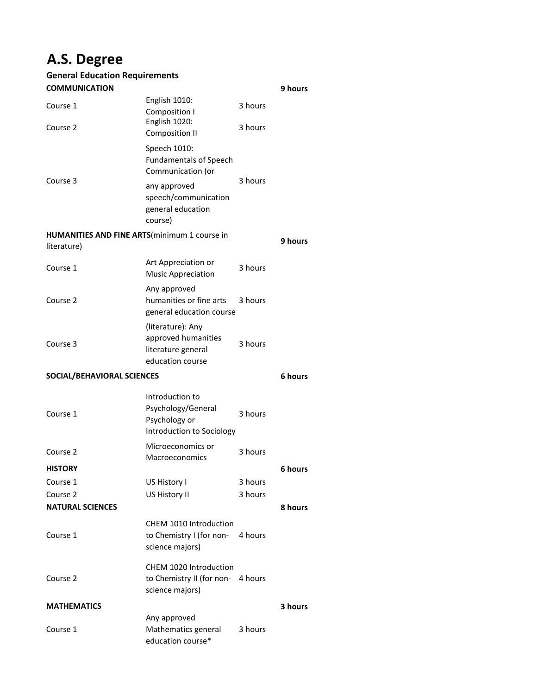# **A.S. Degree**

| <b>General Education Requirements</b> |                                                                                       |         |         |
|---------------------------------------|---------------------------------------------------------------------------------------|---------|---------|
| <b>COMMUNICATION</b>                  |                                                                                       |         | 9 hours |
| Course 1                              | English 1010:<br>Composition I                                                        | 3 hours |         |
| Course 2                              | English 1020:<br><b>Composition II</b>                                                | 3 hours |         |
| Course 3                              | Speech 1010:<br><b>Fundamentals of Speech</b><br>Communication (or                    | 3 hours |         |
|                                       | any approved<br>speech/communication<br>general education<br>course)                  |         |         |
| literature)                           | <b>HUMANITIES AND FINE ARTS</b> (minimum 1 course in                                  |         | 9 hours |
| Course 1                              | Art Appreciation or<br><b>Music Appreciation</b>                                      | 3 hours |         |
| Course 2                              | Any approved<br>humanities or fine arts<br>general education course                   | 3 hours |         |
| Course 3                              | (literature): Any<br>approved humanities<br>literature general<br>education course    | 3 hours |         |
| SOCIAL/BEHAVIORAL SCIENCES            |                                                                                       |         | 6 hours |
|                                       | Introduction to                                                                       |         |         |
| Course 1                              | Psychology/General<br>Psychology or<br>Introduction to Sociology                      | 3 hours |         |
| Course 2                              | Microeconomics or<br>Macroeconomics                                                   | 3 hours |         |
| <b>HISTORY</b>                        |                                                                                       |         | 6 hours |
| Course 1                              | US History I                                                                          | 3 hours |         |
| Course 2                              | US History II                                                                         | 3 hours |         |
| <b>NATURAL SCIENCES</b>               |                                                                                       |         | 8 hours |
| Course 1                              | CHEM 1010 Introduction<br>to Chemistry I (for non-<br>science majors)                 | 4 hours |         |
| Course 2                              | <b>CHEM 1020 Introduction</b><br>to Chemistry II (for non- 4 hours<br>science majors) |         |         |
| <b>MATHEMATICS</b>                    |                                                                                       |         | 3 hours |
|                                       | Any approved                                                                          |         |         |
| Course 1                              | Mathematics general<br>education course*                                              | 3 hours |         |